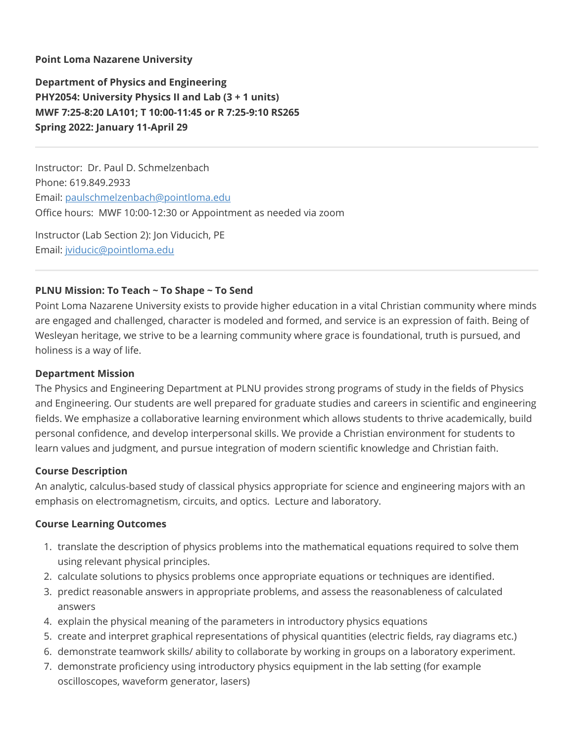### **Point Loma Nazarene University**

**Department of Physics and Engineering PHY2054: University Physics II and Lab (3 + 1 units) MWF 7:25-8:20 LA101; T 10:00-11:45 or R 7:25-9:10 RS265 Spring 2022: January 11-April 29**

Instructor: Dr. Paul D. Schmelzenbach Phone: 619.849.2933 Email: [paulschmelzenbach@pointloma.edu](mailto:paulschmelzenbach@pointloma.edu) Office hours: MWF 10:00-12:30 or Appointment as needed via zoom

Instructor (Lab Section 2): Jon Viducich, PE Email: [jviducic@pointloma.edu](mailto:jviducic@pointloma.edu)

### **PLNU Mission: To Teach ~ To Shape ~ To Send**

Point Loma Nazarene University exists to provide higher education in a vital Christian community where minds are engaged and challenged, character is modeled and formed, and service is an expression of faith. Being of Wesleyan heritage, we strive to be a learning community where grace is foundational, truth is pursued, and holiness is a way of life.

#### **Department Mission**

The Physics and Engineering Department at PLNU provides strong programs of study in the fields of Physics and Engineering. Our students are well prepared for graduate studies and careers in scientific and engineering fields. We emphasize a collaborative learning environment which allows students to thrive academically, build personal confidence, and develop interpersonal skills. We provide a Christian environment for students to learn values and judgment, and pursue integration of modern scientific knowledge and Christian faith.

#### **Course Description**

An analytic, calculus-based study of classical physics appropriate for science and engineering majors with an emphasis on electromagnetism, circuits, and optics. Lecture and laboratory.

#### **Course Learning Outcomes**

- 1. translate the description of physics problems into the mathematical equations required to solve them using relevant physical principles.
- 2. calculate solutions to physics problems once appropriate equations or techniques are identified.
- 3. predict reasonable answers in appropriate problems, and assess the reasonableness of calculated answers
- 4. explain the physical meaning of the parameters in introductory physics equations
- 5. create and interpret graphical representations of physical quantities (electric fields, ray diagrams etc.)
- 6. demonstrate teamwork skills/ ability to collaborate by working in groups on a laboratory experiment.
- 7. demonstrate proficiency using introductory physics equipment in the lab setting (for example oscilloscopes, waveform generator, lasers)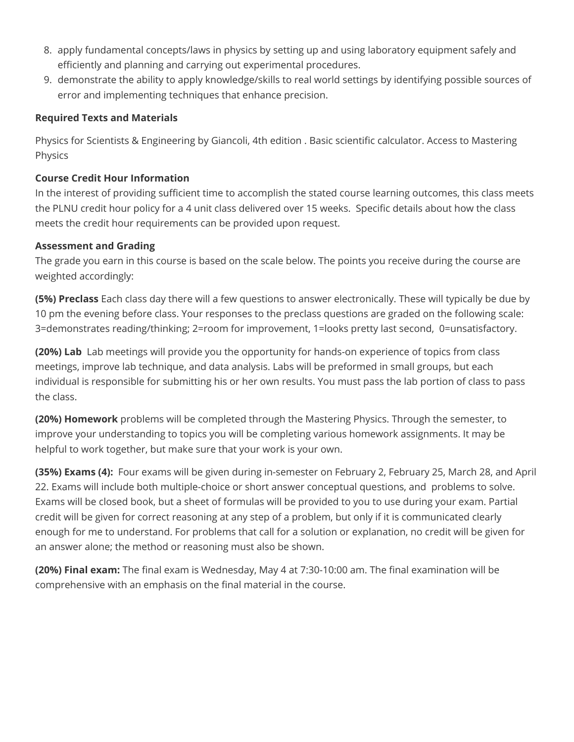- 8. apply fundamental concepts/laws in physics by setting up and using laboratory equipment safely and efficiently and planning and carrying out experimental procedures.
- 9. demonstrate the ability to apply knowledge/skills to real world settings by identifying possible sources of error and implementing techniques that enhance precision.

## **Required Texts and Materials**

Physics for Scientists & Engineering by Giancoli, 4th edition . Basic scientific calculator. Access to Mastering Physics

## **Course Credit Hour Information**

In the interest of providing sufficient time to accomplish the stated course learning outcomes, this class meets the PLNU credit hour policy for a 4 unit class delivered over 15 weeks. Specific details about how the class meets the credit hour requirements can be provided upon request.

## **Assessment and Grading**

The grade you earn in this course is based on the scale below. The points you receive during the course are weighted accordingly:

**(5%) Preclass** Each class day there will a few questions to answer electronically. These will typically be due by 10 pm the evening before class. Your responses to the preclass questions are graded on the following scale: 3=demonstrates reading/thinking; 2=room for improvement, 1=looks pretty last second, 0=unsatisfactory.

**(20%) Lab** Lab meetings will provide you the opportunity for hands-on experience of topics from class meetings, improve lab technique, and data analysis. Labs will be preformed in small groups, but each individual is responsible for submitting his or her own results. You must pass the lab portion of class to pass the class.

**(20%) Homework** problems will be completed through the Mastering Physics. Through the semester, to improve your understanding to topics you will be completing various homework assignments. It may be helpful to work together, but make sure that your work is your own.

**(35%) Exams (4):** Four exams will be given during in-semester on February 2, February 25, March 28, and April 22. Exams will include both multiple-choice or short answer conceptual questions, and problems to solve. Exams will be closed book, but a sheet of formulas will be provided to you to use during your exam. Partial credit will be given for correct reasoning at any step of a problem, but only if it is communicated clearly enough for me to understand. For problems that call for a solution or explanation, no credit will be given for an answer alone; the method or reasoning must also be shown.

**(20%) Final exam:** The final exam is Wednesday, May 4 at 7:30-10:00 am. The final examination will be comprehensive with an emphasis on the final material in the course.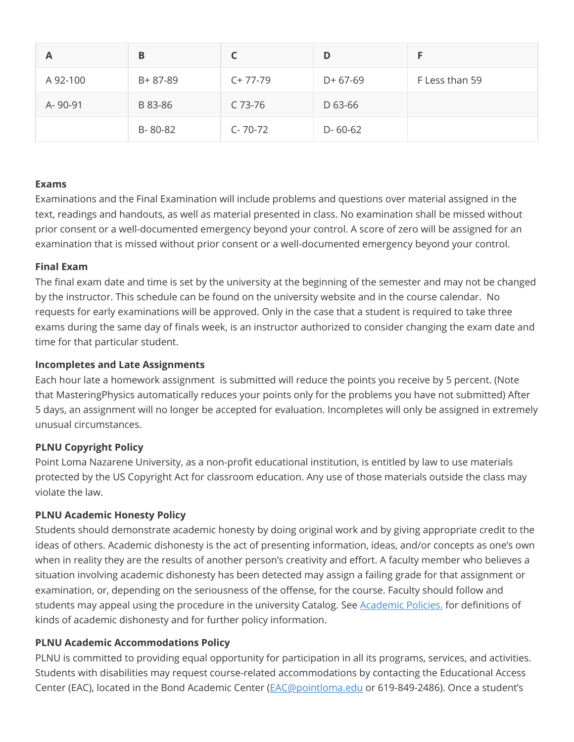| A        | В       |               | D             |                |
|----------|---------|---------------|---------------|----------------|
| A 92-100 | B+87-89 | $C+77-79$     | $D+67-69$     | F Less than 59 |
| A-90-91  | B 83-86 | C 73-76       | D 63-66       |                |
|          | B-80-82 | $C - 70 - 72$ | $D - 60 - 62$ |                |

### **Exams**

Examinations and the Final Examination will include problems and questions over material assigned in the text, readings and handouts, as well as material presented in class. No examination shall be missed without prior consent or a well-documented emergency beyond your control. A score of zero will be assigned for an examination that is missed without prior consent or a well-documented emergency beyond your control.

### **Final Exam**

The final exam date and time is set by the university at the beginning of the semester and may not be changed by the instructor. This schedule can be found on the university website and in the course calendar. No requests for early examinations will be approved. Only in the case that a student is required to take three exams during the same day of finals week, is an instructor authorized to consider changing the exam date and time for that particular student.

### **Incompletes and Late Assignments**

Each hour late a homework assignment is submitted will reduce the points you receive by 5 percent. (Note that MasteringPhysics automatically reduces your points only for the problems you have not submitted) After 5 days, an assignment will no longer be accepted for evaluation. Incompletes will only be assigned in extremely unusual circumstances.

## **PLNU Copyright Policy**

Point Loma Nazarene University, as a non-profit educational institution, is entitled by law to use materials protected by the US Copyright Act for classroom education. Any use of those materials outside the class may violate the law.

#### **PLNU Academic Honesty Policy**

Students should demonstrate academic honesty by doing original work and by giving appropriate credit to the ideas of others. Academic dishonesty is the act of presenting information, ideas, and/or concepts as one's own when in reality they are the results of another person's creativity and effort. A faculty member who believes a situation involving academic dishonesty has been detected may assign a failing grade for that assignment or examination, or, depending on the seriousness of the offense, for the course. Faculty should follow and students may appeal using the procedure in the university Catalog. See [Academic Policies.](http://catalog.pointloma.edu/content.php?catoid=18&navoid=1278) for definitions of kinds of academic dishonesty and for further policy information.

## **PLNU Academic Accommodations Policy**

PLNU is committed to providing equal opportunity for participation in all its programs, services, and activities. Students with disabilities may request course-related accommodations by contacting the Educational Access Center (EAC), located in the Bond Academic Center ([EAC@pointloma.edu](mailto:EAC@pointloma.edu) or 619-849-2486). Once a student's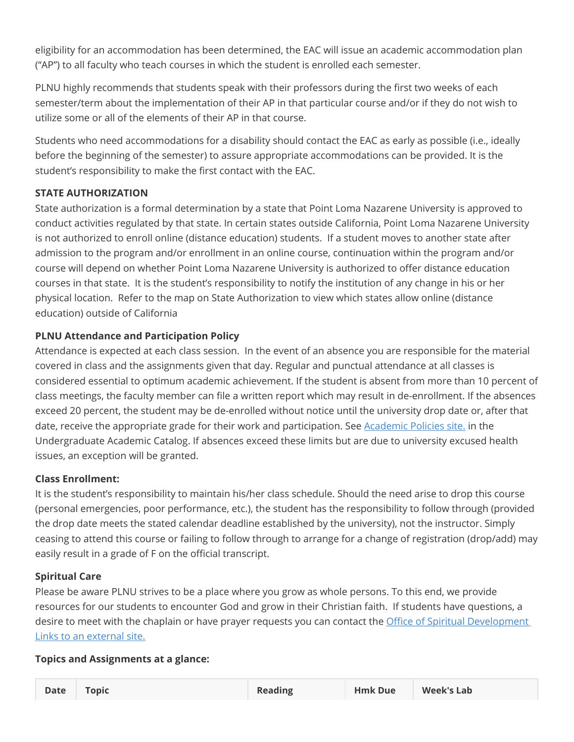eligibility for an accommodation has been determined, the EAC will issue an academic accommodation plan ("AP") to all faculty who teach courses in which the student is enrolled each semester.

PLNU highly recommends that students speak with their professors during the first two weeks of each semester/term about the implementation of their AP in that particular course and/or if they do not wish to utilize some or all of the elements of their AP in that course.

Students who need accommodations for a disability should contact the EAC as early as possible (i.e., ideally before the beginning of the semester) to assure appropriate accommodations can be provided. It is the student's responsibility to make the first contact with the EAC.

# **STATE AUTHORIZATION**

State authorization is a formal determination by a state that Point Loma Nazarene University is approved to conduct activities regulated by that state. In certain states outside California, Point Loma Nazarene University is not authorized to enroll online (distance education) students. If a student moves to another state after admission to the program and/or enrollment in an online course, continuation within the program and/or course will depend on whether Point Loma Nazarene University is authorized to offer distance education courses in that state. It is the student's responsibility to notify the institution of any change in his or her physical location. Refer to the map on State Authorization to view which states allow online (distance education) outside of California

# **PLNU Attendance and Participation Policy**

Attendance is expected at each class session. In the event of an absence you are responsible for the material covered in class and the assignments given that day. Regular and punctual attendance at all classes is considered essential to optimum academic achievement. If the student is absent from more than 10 percent of class meetings, the faculty member can file a written report which may result in de-enrollment. If the absences exceed 20 percent, the student may be de-enrolled without notice until the university drop date or, after that date, receive the appropriate grade for their work and participation. See [Academic Policies site.](https://catalog.pointloma.edu/content.php?catoid=46&navoid=2650#Class_Attendance) in the Undergraduate Academic Catalog. If absences exceed these limits but are due to university excused health issues, an exception will be granted.

# **Class Enrollment:**

It is the student's responsibility to maintain his/her class schedule. Should the need arise to drop this course (personal emergencies, poor performance, etc.), the student has the responsibility to follow through (provided the drop date meets the stated calendar deadline established by the university), not the instructor. Simply ceasing to attend this course or failing to follow through to arrange for a change of registration (drop/add) may easily result in a grade of F on the official transcript.

# **Spiritual Care**

Please be aware PLNU strives to be a place where you grow as whole persons. To this end, we provide resources for our students to encounter God and grow in their Christian faith. If students have questions, a [desire to meet with the chaplain or have prayer requests you can contact the Office of Spiritual Development](https://www.pointloma.edu/offices/spiritual-development) Links to an external site.

# **Topics and Assignments at a glance:**

| Date Topic |  | <b>Reading</b> | <b>Hmk Due</b> | <b>Week's Lab</b> |
|------------|--|----------------|----------------|-------------------|
|------------|--|----------------|----------------|-------------------|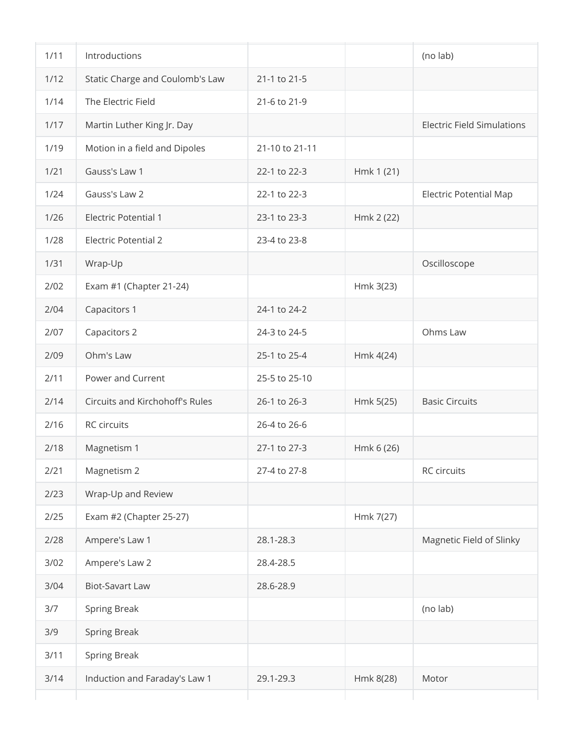| 1/11 | Introductions                   |                |            | (no lab)                          |
|------|---------------------------------|----------------|------------|-----------------------------------|
| 1/12 | Static Charge and Coulomb's Law | 21-1 to 21-5   |            |                                   |
| 1/14 | The Electric Field              | 21-6 to 21-9   |            |                                   |
| 1/17 | Martin Luther King Jr. Day      |                |            | <b>Electric Field Simulations</b> |
| 1/19 | Motion in a field and Dipoles   | 21-10 to 21-11 |            |                                   |
| 1/21 | Gauss's Law 1                   | 22-1 to 22-3   | Hmk 1 (21) |                                   |
| 1/24 | Gauss's Law 2                   | 22-1 to 22-3   |            | <b>Electric Potential Map</b>     |
| 1/26 | <b>Electric Potential 1</b>     | 23-1 to 23-3   | Hmk 2 (22) |                                   |
| 1/28 | <b>Electric Potential 2</b>     | 23-4 to 23-8   |            |                                   |
| 1/31 | Wrap-Up                         |                |            | Oscilloscope                      |
| 2/02 | Exam #1 (Chapter 21-24)         |                | Hmk 3(23)  |                                   |
| 2/04 | Capacitors 1                    | 24-1 to 24-2   |            |                                   |
| 2/07 | Capacitors 2                    | 24-3 to 24-5   |            | Ohms Law                          |
| 2/09 | Ohm's Law                       | 25-1 to 25-4   | Hmk 4(24)  |                                   |
| 2/11 | Power and Current               | 25-5 to 25-10  |            |                                   |
| 2/14 | Circuits and Kirchohoff's Rules | 26-1 to 26-3   | Hmk 5(25)  | <b>Basic Circuits</b>             |
| 2/16 | RC circuits                     | 26-4 to 26-6   |            |                                   |
| 2/18 | Magnetism 1                     | 27-1 to 27-3   | Hmk 6 (26) |                                   |
| 2/21 | Magnetism 2                     | 27-4 to 27-8   |            | RC circuits                       |
| 2/23 | Wrap-Up and Review              |                |            |                                   |
| 2/25 | Exam #2 (Chapter 25-27)         |                | Hmk 7(27)  |                                   |
| 2/28 | Ampere's Law 1                  | 28.1-28.3      |            | Magnetic Field of Slinky          |
| 3/02 | Ampere's Law 2                  | 28.4-28.5      |            |                                   |
| 3/04 | <b>Biot-Savart Law</b>          | 28.6-28.9      |            |                                   |
| 3/7  | Spring Break                    |                |            | (no lab)                          |
| 3/9  | <b>Spring Break</b>             |                |            |                                   |
| 3/11 | Spring Break                    |                |            |                                   |
| 3/14 | Induction and Faraday's Law 1   | 29.1-29.3      | Hmk 8(28)  | Motor                             |